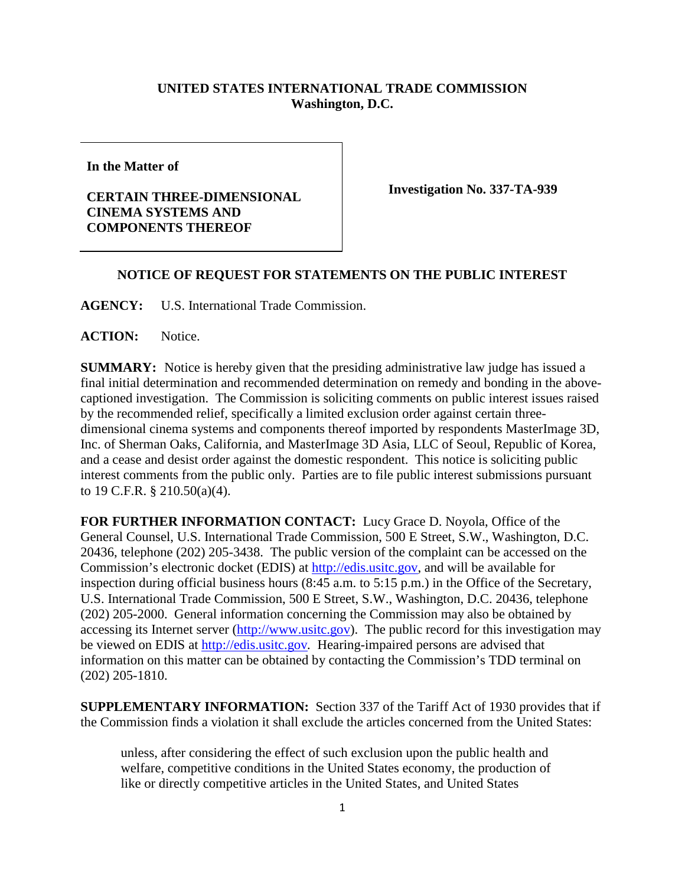## **UNITED STATES INTERNATIONAL TRADE COMMISSION Washington, D.C.**

**In the Matter of**

## **CERTAIN THREE-DIMENSIONAL CINEMA SYSTEMS AND COMPONENTS THEREOF**

**Investigation No. 337-TA-939**

## **NOTICE OF REQUEST FOR STATEMENTS ON THE PUBLIC INTEREST**

**AGENCY:** U.S. International Trade Commission.

**ACTION:** Notice.

**SUMMARY:** Notice is hereby given that the presiding administrative law judge has issued a final initial determination and recommended determination on remedy and bonding in the abovecaptioned investigation. The Commission is soliciting comments on public interest issues raised by the recommended relief, specifically a limited exclusion order against certain threedimensional cinema systems and components thereof imported by respondents MasterImage 3D, Inc. of Sherman Oaks, California, and MasterImage 3D Asia, LLC of Seoul, Republic of Korea, and a cease and desist order against the domestic respondent. This notice is soliciting public interest comments from the public only. Parties are to file public interest submissions pursuant to 19 C.F.R. § 210.50(a)(4).

**FOR FURTHER INFORMATION CONTACT:** Lucy Grace D. Noyola, Office of the General Counsel, U.S. International Trade Commission, 500 E Street, S.W., Washington, D.C. 20436, telephone (202) 205-3438. The public version of the complaint can be accessed on the Commission's electronic docket (EDIS) at [http://edis.usitc.gov,](http://edis.usitc.gov/) and will be available for inspection during official business hours (8:45 a.m. to 5:15 p.m.) in the Office of the Secretary, U.S. International Trade Commission, 500 E Street, S.W., Washington, D.C. 20436, telephone (202) 205-2000. General information concerning the Commission may also be obtained by accessing its Internet server [\(http://www.usitc.gov\)](http://www.usitc.gov/). The public record for this investigation may be viewed on EDIS at [http://edis.usitc.gov](http://edis.usitc.gov/)*.* Hearing-impaired persons are advised that information on this matter can be obtained by contacting the Commission's TDD terminal on (202) 205-1810.

**SUPPLEMENTARY INFORMATION:** Section 337 of the Tariff Act of 1930 provides that if the Commission finds a violation it shall exclude the articles concerned from the United States:

unless, after considering the effect of such exclusion upon the public health and welfare, competitive conditions in the United States economy, the production of like or directly competitive articles in the United States, and United States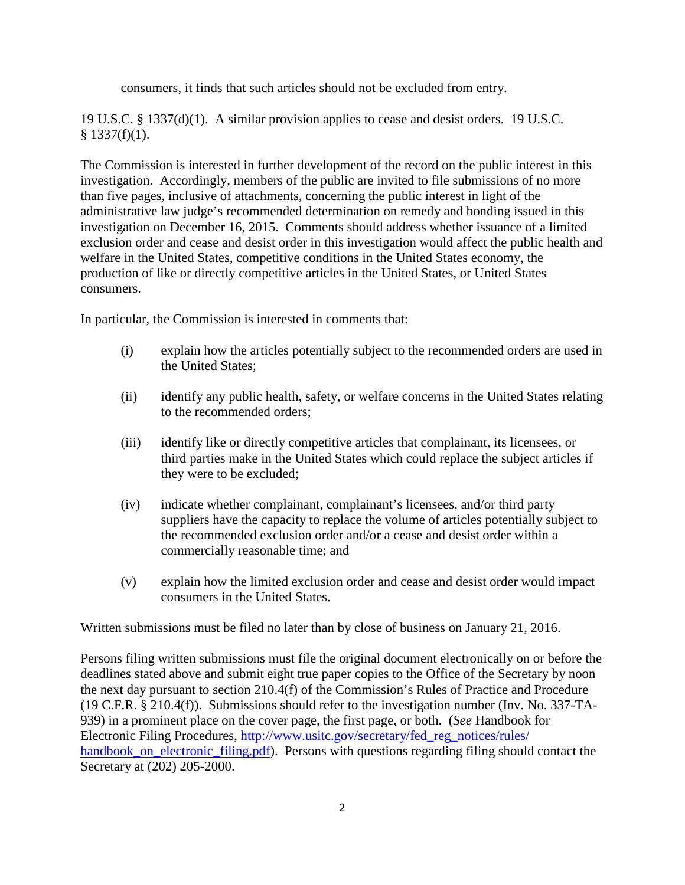consumers, it finds that such articles should not be excluded from entry.

19 U.S.C. § 1337(d)(1). A similar provision applies to cease and desist orders. 19 U.S.C.  $§$  1337(f)(1).

The Commission is interested in further development of the record on the public interest in this investigation. Accordingly, members of the public are invited to file submissions of no more than five pages, inclusive of attachments, concerning the public interest in light of the administrative law judge's recommended determination on remedy and bonding issued in this investigation on December 16, 2015. Comments should address whether issuance of a limited exclusion order and cease and desist order in this investigation would affect the public health and welfare in the United States, competitive conditions in the United States economy, the production of like or directly competitive articles in the United States, or United States consumers.

In particular, the Commission is interested in comments that:

- (i) explain how the articles potentially subject to the recommended orders are used in the United States;
- (ii) identify any public health, safety, or welfare concerns in the United States relating to the recommended orders;
- (iii) identify like or directly competitive articles that complainant, its licensees, or third parties make in the United States which could replace the subject articles if they were to be excluded;
- (iv) indicate whether complainant, complainant's licensees, and/or third party suppliers have the capacity to replace the volume of articles potentially subject to the recommended exclusion order and/or a cease and desist order within a commercially reasonable time; and
- (v) explain how the limited exclusion order and cease and desist order would impact consumers in the United States.

Written submissions must be filed no later than by close of business on January 21, 2016.

Persons filing written submissions must file the original document electronically on or before the deadlines stated above and submit eight true paper copies to the Office of the Secretary by noon the next day pursuant to section 210.4(f) of the Commission's Rules of Practice and Procedure (19 C.F.R. § 210.4(f)). Submissions should refer to the investigation number (Inv. No. 337-TA-939) in a prominent place on the cover page, the first page, or both. (*See* Handbook for Electronic Filing Procedures, [http://www.usitc.gov/secretary/fed\\_reg\\_notices/rules/](http://www.usitc.gov/secretary/fed_reg_notices/rules/handbook_on_electronic_filing.pdf) [handbook\\_on\\_electronic\\_filing.pdf\)](http://www.usitc.gov/secretary/fed_reg_notices/rules/handbook_on_electronic_filing.pdf). Persons with questions regarding filing should contact the Secretary at (202) 205-2000.